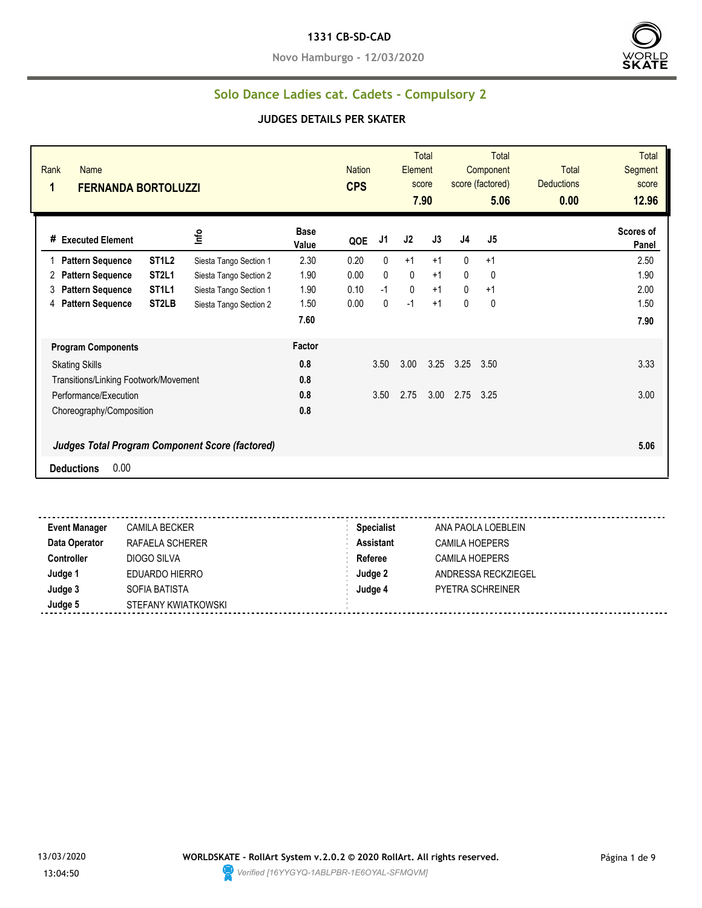#### **1331 CB-SD-CAD**

**Novo Hamburgo - 12/03/2020**



### **Solo Dance Ladies cat. Cadets - Compulsory 2**

#### **JUDGES DETAILS PER SKATER**

| Rank<br>Name<br>1<br><b>FERNANDA BORTOLUZZI</b> |                                |                                                 |                      | <b>Nation</b><br><b>CPS</b> |              | <b>Element</b> | <b>Total</b><br>score<br>7.90 |                | <b>Total</b><br>Component<br>score (factored)<br>5.06 | <b>Total</b><br><b>Deductions</b><br>0.00 | <b>Total</b><br>Segment<br>score<br>12.96 |
|-------------------------------------------------|--------------------------------|-------------------------------------------------|----------------------|-----------------------------|--------------|----------------|-------------------------------|----------------|-------------------------------------------------------|-------------------------------------------|-------------------------------------------|
| # Executed Element                              |                                | Info                                            | <b>Base</b><br>Value | QOE                         | J1           | J2             | J3                            | J <sub>4</sub> | J5                                                    |                                           | Scores of<br>Panel                        |
| <b>Pattern Sequence</b>                         | ST <sub>1</sub> L <sub>2</sub> | Siesta Tango Section 1                          | 2.30                 | 0.20                        | $\mathbf{0}$ | $+1$           | $+1$                          | $\mathbf{0}$   | $+1$                                                  |                                           | 2.50                                      |
| <b>Pattern Sequence</b><br>2                    | ST <sub>2L1</sub>              | Siesta Tango Section 2                          | 1.90                 | 0.00                        | $\mathbf{0}$ | 0              | $+1$                          | $\mathbf{0}$   | 0                                                     |                                           | 1.90                                      |
| 3<br><b>Pattern Sequence</b>                    | ST <sub>1</sub> L <sub>1</sub> | Siesta Tango Section 1                          | 1.90                 | 0.10                        | $-1$         | 0              | $+1$                          | $\mathbf{0}$   | $+1$                                                  |                                           | 2.00                                      |
| <b>Pattern Sequence</b><br>4                    | ST <sub>2</sub> LB             | Siesta Tango Section 2                          | 1.50                 | 0.00                        | $\mathbf{0}$ | $-1$           | $+1$                          | 0              | 0                                                     |                                           | 1.50                                      |
|                                                 |                                |                                                 | 7.60                 |                             |              |                |                               |                |                                                       |                                           | 7.90                                      |
| <b>Program Components</b>                       |                                |                                                 | Factor               |                             |              |                |                               |                |                                                       |                                           |                                           |
| <b>Skating Skills</b>                           |                                |                                                 | 0.8                  |                             | 3.50         | 3.00           | 3.25                          | 3.25           | 3.50                                                  |                                           | 3.33                                      |
| Transitions/Linking Footwork/Movement           |                                |                                                 | 0.8                  |                             |              |                |                               |                |                                                       |                                           |                                           |
| Performance/Execution                           |                                |                                                 | 0.8                  |                             | 3.50         | 2.75           | 3.00                          | 2.75           | 3.25                                                  |                                           | 3.00                                      |
| Choreography/Composition                        |                                |                                                 | 0.8                  |                             |              |                |                               |                |                                                       |                                           |                                           |
|                                                 |                                | Judges Total Program Component Score (factored) |                      |                             |              |                |                               |                |                                                       |                                           | 5.06                                      |
| 0.00<br><b>Deductions</b>                       |                                |                                                 |                      |                             |              |                |                               |                |                                                       |                                           |                                           |

**Event Manager** CAMILA BECKER **Specialist** ANA PAOLA LOEBLEIN **Data Operator** RAFAELA SCHERER **Assistant** CAMILA HOEPERS **Controller** DIOGO SILVA **Referee** CAMILA HOEPERS **Judge 1** EDUARDO HIERRO **Judge 2** ANDRESSA RECKZIEGEL **Judge 3** SOFIA BATISTA **Judge 4** PYETRA SCHREINER **Judge 5** STEFANY KWIATKOWSKI

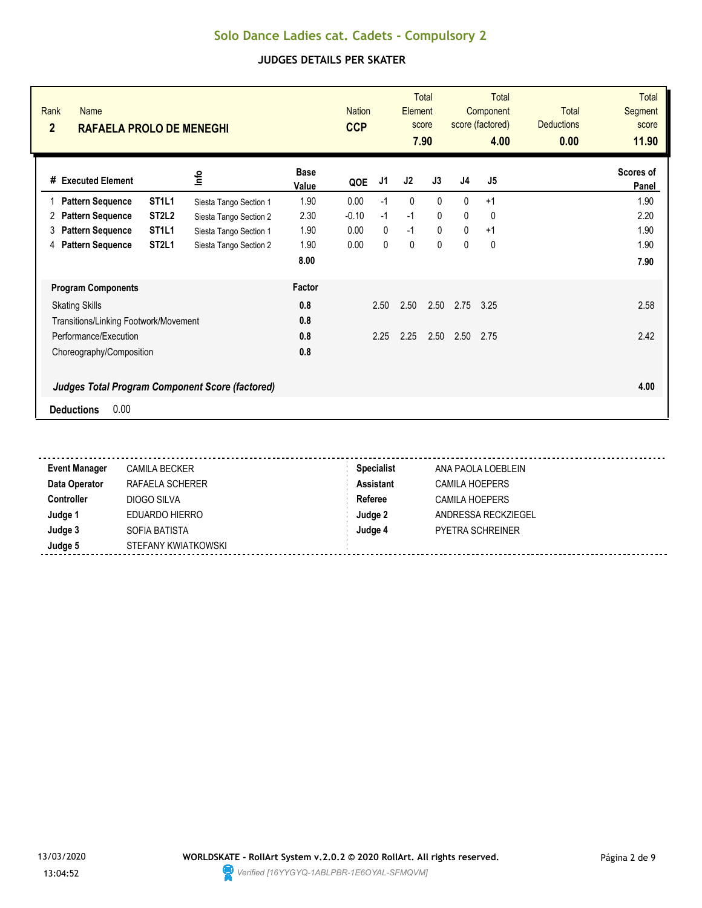| Rank<br><b>Name</b><br>$\overline{2}$<br><b>RAFAELA PROLO DE MENEGHI</b>            |                        |                      | <b>Nation</b><br><b>CCP</b> |              | Element | <b>Total</b><br>score<br>7.90 |              | <b>Total</b><br>Component<br>score (factored)<br>4.00 | <b>Total</b><br><b>Deductions</b><br>0.00 | <b>Total</b><br>Segment<br>score<br>11.90 |
|-------------------------------------------------------------------------------------|------------------------|----------------------|-----------------------------|--------------|---------|-------------------------------|--------------|-------------------------------------------------------|-------------------------------------------|-------------------------------------------|
| #<br><b>Executed Element</b>                                                        | lnfo                   | <b>Base</b><br>Value | QOE                         | J1           | J2      | J3                            | J4           | J5                                                    |                                           | Scores of<br>Panel                        |
| ST <sub>1</sub> L <sub>1</sub><br><b>Pattern Sequence</b><br>1                      | Siesta Tango Section 1 | 1.90                 | 0.00                        | $-1$         | 0       | $\mathbf{0}$                  | $\mathbf{0}$ | $+1$                                                  |                                           | 1.90                                      |
| ST <sub>2</sub> L <sub>2</sub><br><b>Pattern Sequence</b><br>2                      | Siesta Tango Section 2 | 2.30                 | $-0.10$                     | $-1$         | $-1$    | $\mathbf{0}$                  | $\mathbf{0}$ | 0                                                     |                                           | 2.20                                      |
| ST <sub>1</sub> L <sub>1</sub><br><b>Pattern Sequence</b><br>3                      | Siesta Tango Section 1 | 1.90                 | 0.00                        | $\mathbf{0}$ | $-1$    | $\mathbf{0}$                  | $\mathbf{0}$ | $+1$                                                  |                                           | 1.90                                      |
| <b>Pattern Sequence</b><br>ST <sub>2L1</sub><br>4                                   | Siesta Tango Section 2 | 1.90                 | 0.00                        | $\mathbf{0}$ | 0       | $\mathbf{0}$                  | 0            | 0                                                     |                                           | 1.90                                      |
|                                                                                     |                        | 8.00                 |                             |              |         |                               |              |                                                       |                                           | 7.90                                      |
| <b>Program Components</b>                                                           |                        | Factor               |                             |              |         |                               |              |                                                       |                                           |                                           |
| <b>Skating Skills</b>                                                               |                        | 0.8                  |                             | 2.50         | 2.50    | 2.50                          | 2.75         | 3.25                                                  |                                           | 2.58                                      |
| Transitions/Linking Footwork/Movement                                               |                        | 0.8                  |                             |              |         |                               |              |                                                       |                                           |                                           |
| Performance/Execution                                                               |                        | 0.8                  |                             | 2.25         | 2.25    | 2.50                          | 2.50         | 2.75                                                  |                                           | 2.42                                      |
| Choreography/Composition                                                            |                        | 0.8                  |                             |              |         |                               |              |                                                       |                                           |                                           |
| <b>Judges Total Program Component Score (factored)</b><br>0.00<br><b>Deductions</b> |                        |                      |                             |              |         |                               |              |                                                       |                                           | 4.00                                      |

| <b>Event Manager</b> | <b>CAMILA BECKER</b> | <b>Specialist</b> | ANA PAOLA LOEBLEIN      |
|----------------------|----------------------|-------------------|-------------------------|
| Data Operator        | RAFAELA SCHERER      | <b>Assistant</b>  | CAMILA HOEPERS          |
| <b>Controller</b>    | DIOGO SILVA          | Referee           | CAMILA HOEPERS          |
| Judge 1              | EDUARDO HIERRO       | Judge 2           | ANDRESSA RECKZIEGEL     |
| Judge 3              | SOFIA BATISTA        | Judge 4           | <b>PYETRA SCHREINER</b> |
| Judge 5              | STEFANY KWIATKOWSKI  |                   |                         |

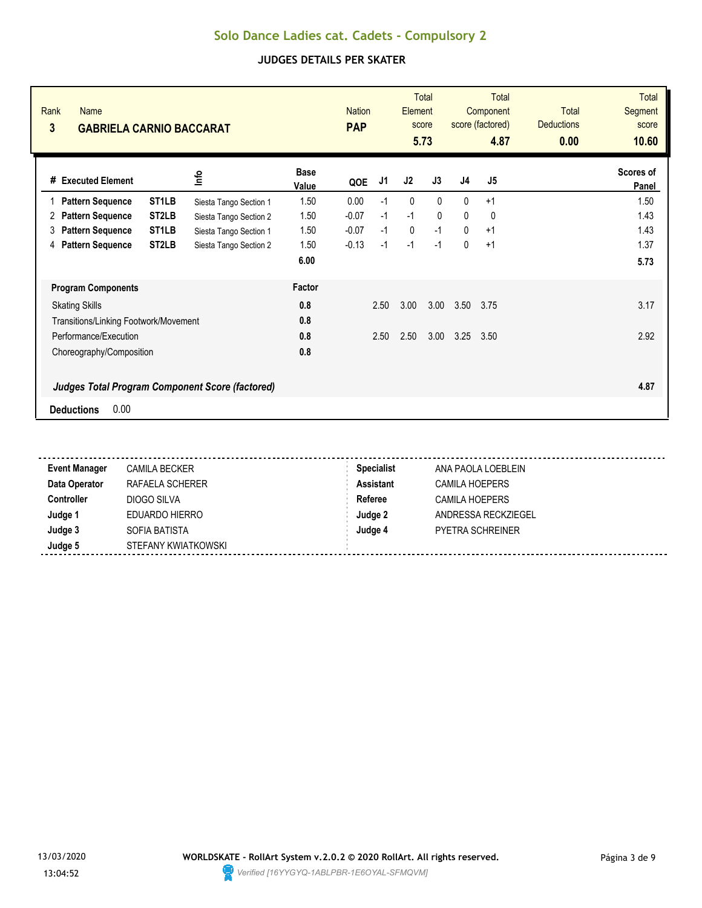| Rank<br><b>Name</b><br>3<br><b>GABRIELA CARNIO BACCARAT</b> |                                                        |                      | <b>Nation</b><br><b>PAP</b> |      | Element | <b>Total</b><br>score<br>5.73 |                | <b>Total</b><br>Component<br>score (factored)<br>4.87 | <b>Total</b><br><b>Deductions</b><br>0.00 | <b>Total</b><br>Segment<br>score<br>10.60 |
|-------------------------------------------------------------|--------------------------------------------------------|----------------------|-----------------------------|------|---------|-------------------------------|----------------|-------------------------------------------------------|-------------------------------------------|-------------------------------------------|
| # Executed Element                                          | e                                                      | <b>Base</b><br>Value | QOE                         | J1   | J2      | J3                            | J <sub>4</sub> | J5                                                    |                                           | Scores of<br>Panel                        |
| <b>Pattern Sequence</b>                                     | ST <sub>1</sub> LB<br>Siesta Tango Section 1           | 1.50                 | 0.00                        | $-1$ | 0       | $\Omega$                      | $\mathbf{0}$   | $+1$                                                  |                                           | 1.50                                      |
| <b>Pattern Sequence</b><br>2                                | ST <sub>2</sub> LB<br>Siesta Tango Section 2           | 1.50                 | $-0.07$                     | $-1$ | $-1$    | $\mathbf{0}$                  | 0              | 0                                                     |                                           | 1.43                                      |
| <b>Pattern Sequence</b><br>3                                | ST <sub>1</sub> LB<br>Siesta Tango Section 1           | 1.50                 | $-0.07$                     | $-1$ | 0       | $-1$                          | $\mathbf{0}$   | $+1$                                                  |                                           | 1.43                                      |
| <b>Pattern Sequence</b><br>4                                | ST <sub>2</sub> LB<br>Siesta Tango Section 2           | 1.50                 | $-0.13$                     | $-1$ | $-1$    | $-1$                          | $\mathbf{0}$   | $+1$                                                  |                                           | 1.37                                      |
|                                                             |                                                        | 6.00                 |                             |      |         |                               |                |                                                       |                                           | 5.73                                      |
| <b>Program Components</b>                                   |                                                        | Factor               |                             |      |         |                               |                |                                                       |                                           |                                           |
| <b>Skating Skills</b>                                       |                                                        | 0.8                  |                             | 2.50 | 3.00    | 3.00                          | 3.50           | 3.75                                                  |                                           | 3.17                                      |
| Transitions/Linking Footwork/Movement                       |                                                        | 0.8                  |                             |      |         |                               |                |                                                       |                                           |                                           |
| Performance/Execution                                       |                                                        | 0.8                  |                             | 2.50 | 2.50    | 3.00                          | 3.25           | 3.50                                                  |                                           | 2.92                                      |
| Choreography/Composition                                    |                                                        | 0.8                  |                             |      |         |                               |                |                                                       |                                           |                                           |
|                                                             | <b>Judges Total Program Component Score (factored)</b> |                      |                             |      |         |                               |                |                                                       |                                           | 4.87                                      |
| 0.00<br><b>Deductions</b>                                   |                                                        |                      |                             |      |         |                               |                |                                                       |                                           |                                           |

| <b>Event Manager</b> | CAMILA BECKER       | <b>Specialist</b> | ANA PAOLA LOEBLEIN      |
|----------------------|---------------------|-------------------|-------------------------|
| Data Operator        | RAFAELA SCHERER     | <b>Assistant</b>  | <b>CAMILA HOEPERS</b>   |
| <b>Controller</b>    | DIOGO SILVA         | Referee           | CAMILA HOEPERS          |
| Judge 1              | EDUARDO HIERRO      | Judge 2           | ANDRESSA RECKZIEGEL     |
| Judge 3              | SOFIA BATISTA       | Judge 4           | <b>PYETRA SCHREINER</b> |
| Judge 5              | STEFANY KWIATKOWSKI |                   |                         |

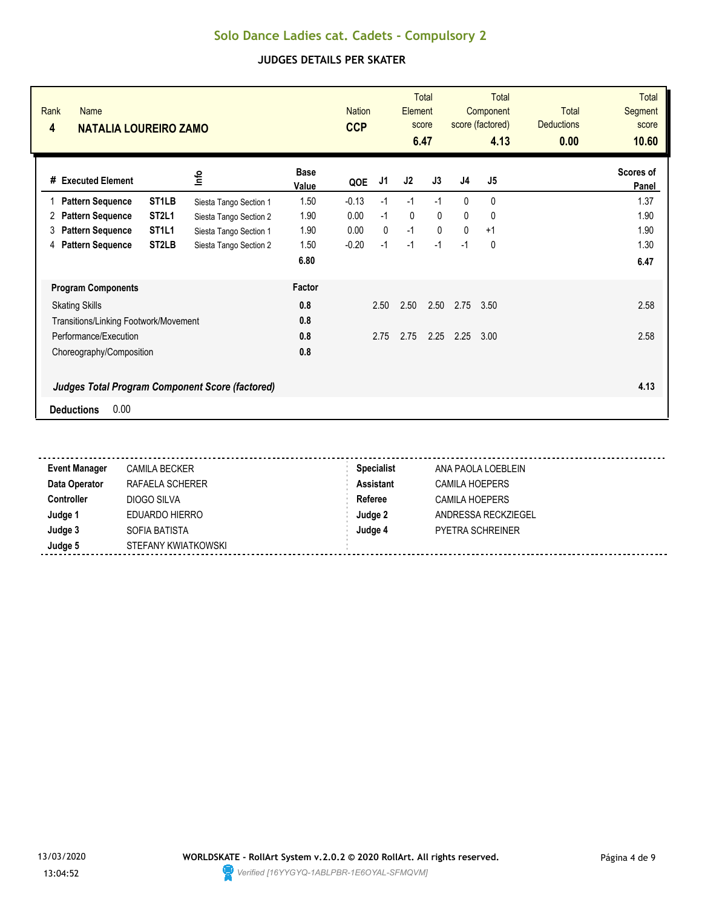| Rank<br><b>Name</b><br>4<br><b>NATALIA LOUREIRO ZAMO</b>       |                        |                      | <b>Nation</b><br><b>CCP</b> |              | Element      | <b>Total</b><br>score<br>6.47 |              | Total<br>Component<br>score (factored)<br>4.13 | <b>Total</b><br><b>Deductions</b><br>0.00 | <b>Total</b><br>Segment<br>score<br>10.60 |
|----------------------------------------------------------------|------------------------|----------------------|-----------------------------|--------------|--------------|-------------------------------|--------------|------------------------------------------------|-------------------------------------------|-------------------------------------------|
| #<br><b>Executed Element</b>                                   | lnfo                   | <b>Base</b><br>Value | QOE                         | J1           | J2           | J3                            | J4           | J5                                             |                                           | Scores of<br>Panel                        |
| ST <sub>1</sub> LB<br><b>Pattern Sequence</b><br>1             | Siesta Tango Section 1 | 1.50                 | $-0.13$                     | $-1$         | $-1$         | $-1$                          | $\mathbf{0}$ | 0                                              |                                           | 1.37                                      |
| ST <sub>2L1</sub><br><b>Pattern Sequence</b><br>2              | Siesta Tango Section 2 | 1.90                 | 0.00                        | $-1$         | $\mathbf{0}$ | $\Omega$                      | $\Omega$     | $\mathbf{0}$                                   |                                           | 1.90                                      |
| ST <sub>1</sub> L <sub>1</sub><br><b>Pattern Sequence</b><br>3 | Siesta Tango Section 1 | 1.90                 | 0.00                        | $\mathbf{0}$ | $-1$         | $\mathbf{0}$                  | $\mathbf{0}$ | $+1$                                           |                                           | 1.90                                      |
| <b>Pattern Sequence</b><br>ST <sub>2</sub> LB<br>4             | Siesta Tango Section 2 | 1.50                 | $-0.20$                     | $-1$         | $-1$         | $-1$                          | $-1$         | 0                                              |                                           | 1.30                                      |
|                                                                |                        | 6.80                 |                             |              |              |                               |              |                                                |                                           | 6.47                                      |
| <b>Program Components</b>                                      |                        | Factor               |                             |              |              |                               |              |                                                |                                           |                                           |
| <b>Skating Skills</b>                                          |                        | 0.8                  |                             | 2.50         | 2.50         | 2.50                          | 2.75         | 3.50                                           |                                           | 2.58                                      |
| Transitions/Linking Footwork/Movement                          |                        | 0.8                  |                             |              |              |                               |              |                                                |                                           |                                           |
| Performance/Execution                                          |                        | 0.8                  |                             | 2.75         | 2.75         | 2.25                          | 2.25         | 3.00                                           |                                           | 2.58                                      |
| Choreography/Composition                                       |                        | 0.8                  |                             |              |              |                               |              |                                                |                                           |                                           |
| <b>Judges Total Program Component Score (factored)</b>         |                        |                      |                             |              |              |                               |              |                                                |                                           | 4.13                                      |
| 0.00<br><b>Deductions</b>                                      |                        |                      |                             |              |              |                               |              |                                                |                                           |                                           |

| <b>Event Manager</b> | CAMILA BECKER       | <b>Specialist</b> | ANA PAOLA LOEBLEIN      |
|----------------------|---------------------|-------------------|-------------------------|
| Data Operator        | RAFAELA SCHERER     | <b>Assistant</b>  | <b>CAMILA HOEPERS</b>   |
| <b>Controller</b>    | DIOGO SILVA         | Referee           | CAMILA HOEPERS          |
| Judge 1              | EDUARDO HIERRO      | Judge 2           | ANDRESSA RECKZIEGEL     |
| Judge 3              | SOFIA BATISTA       | Judge 4           | <b>PYETRA SCHREINER</b> |
| Judge 5              | STEFANY KWIATKOWSKI |                   |                         |

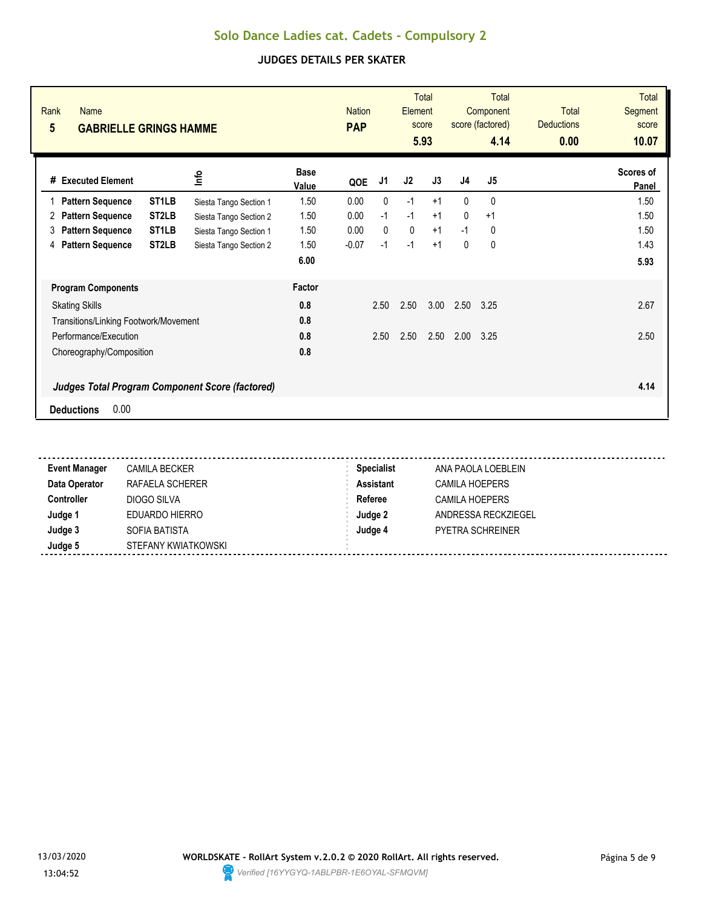| Rank<br><b>Name</b><br>$5\overline{)}$<br><b>GABRIELLE GRINGS HAMME</b> |                                                        |                      | <b>Nation</b><br><b>PAP</b> |              | Element | <b>Total</b><br>score<br>5.93 |              | Total<br>Component<br>score (factored)<br>4.14 | <b>Total</b><br><b>Deductions</b><br>0.00 | <b>Total</b><br>Segment<br>score<br>10.07 |
|-------------------------------------------------------------------------|--------------------------------------------------------|----------------------|-----------------------------|--------------|---------|-------------------------------|--------------|------------------------------------------------|-------------------------------------------|-------------------------------------------|
| #<br><b>Executed Element</b>                                            | lnfo                                                   | <b>Base</b><br>Value | QOE                         | J1           | J2      | J3                            | J4           | J5                                             |                                           | Scores of<br>Panel                        |
| <b>Pattern Sequence</b><br>1                                            | ST <sub>1</sub> LB<br>Siesta Tango Section 1           | 1.50                 | 0.00                        | 0            | $-1$    | $+1$                          | $\mathbf{0}$ | 0                                              |                                           | 1.50                                      |
| <b>Pattern Sequence</b><br>2                                            | ST <sub>2</sub> LB<br>Siesta Tango Section 2           | 1.50                 | 0.00                        | $-1$         | $-1$    | $+1$                          | $\mathbf{0}$ | $+1$                                           |                                           | 1.50                                      |
| <b>Pattern Sequence</b><br>3                                            | ST <sub>1</sub> LB<br>Siesta Tango Section 1           | 1.50                 | 0.00                        | $\mathbf{0}$ | 0       | $+1$                          | $-1$         | 0                                              |                                           | 1.50                                      |
| <b>Pattern Sequence</b><br>4                                            | ST <sub>2</sub> LB<br>Siesta Tango Section 2           | 1.50                 | $-0.07$                     | $-1$         | $-1$    | $+1$                          | 0            | 0                                              |                                           | 1.43                                      |
|                                                                         |                                                        | 6.00                 |                             |              |         |                               |              |                                                |                                           | 5.93                                      |
| <b>Program Components</b>                                               |                                                        | Factor               |                             |              |         |                               |              |                                                |                                           |                                           |
| <b>Skating Skills</b>                                                   |                                                        | 0.8                  |                             | 2.50         | 2.50    | 3.00                          | 2.50         | 3.25                                           |                                           | 2.67                                      |
| Transitions/Linking Footwork/Movement                                   |                                                        | 0.8                  |                             |              |         |                               |              |                                                |                                           |                                           |
| Performance/Execution                                                   |                                                        | 0.8                  |                             | 2.50         | 2.50    | 2.50                          | 2.00         | 3.25                                           |                                           | 2.50                                      |
| Choreography/Composition                                                |                                                        | 0.8                  |                             |              |         |                               |              |                                                |                                           |                                           |
|                                                                         | <b>Judges Total Program Component Score (factored)</b> |                      |                             |              |         |                               |              |                                                |                                           | 4.14                                      |
| 0.00<br><b>Deductions</b>                                               |                                                        |                      |                             |              |         |                               |              |                                                |                                           |                                           |

| <b>Event Manager</b> | <b>CAMILA BECKER</b> | <b>Specialist</b> | ANA PAOLA LOEBLEIN      |
|----------------------|----------------------|-------------------|-------------------------|
| Data Operator        | RAFAELA SCHERER      | <b>Assistant</b>  | CAMILA HOEPERS          |
| <b>Controller</b>    | DIOGO SILVA          | Referee           | <b>CAMILA HOEPERS</b>   |
| Judge 1              | EDUARDO HIERRO       | Judge 2           | ANDRESSA RECKZIEGEL     |
| Judge 3              | SOFIA BATISTA        | Judge 4           | <b>PYETRA SCHREINER</b> |
| Judge 5              | STEFANY KWIATKOWSKI  |                   |                         |

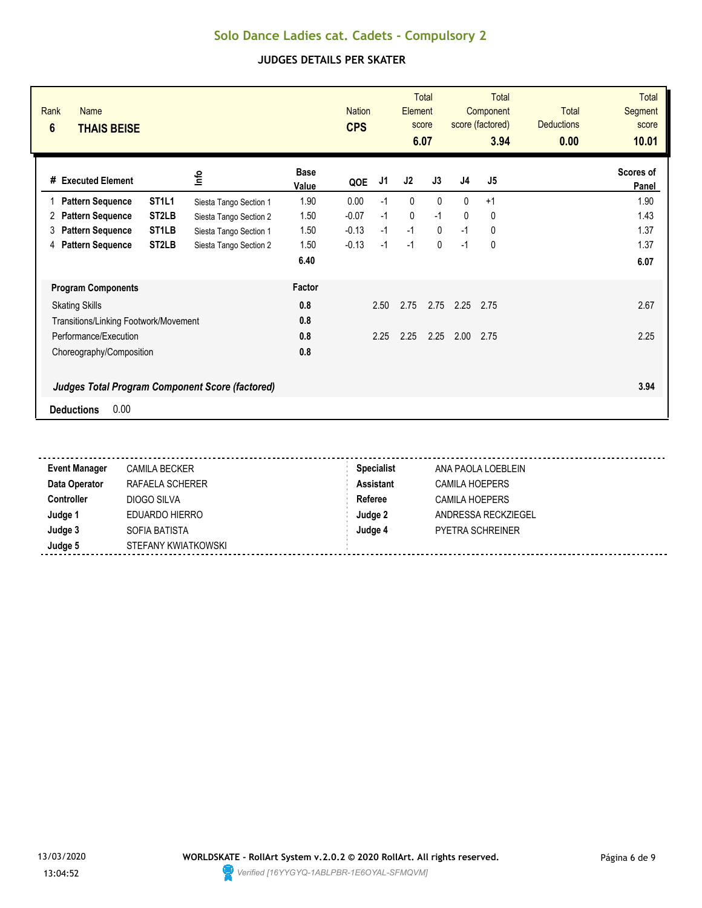| Rank<br><b>Name</b><br>$6\phantom{1}$<br><b>THAIS BEISE</b>    |                        |                      | <b>Nation</b><br><b>CPS</b> |      | Element | <b>Total</b><br>score<br>6.07 |                | <b>Total</b><br>Component<br>score (factored)<br>3.94 | Total<br><b>Deductions</b><br>0.00 | <b>Total</b><br>Segment<br>score<br>10.01 |
|----------------------------------------------------------------|------------------------|----------------------|-----------------------------|------|---------|-------------------------------|----------------|-------------------------------------------------------|------------------------------------|-------------------------------------------|
| #<br><b>Executed Element</b>                                   | lnfo                   | <b>Base</b><br>Value | QOE                         | J1   | J2      | J3                            | J <sub>4</sub> | J <sub>5</sub>                                        |                                    | Scores of<br>Panel                        |
| ST <sub>1</sub> L <sub>1</sub><br><b>Pattern Sequence</b><br>1 | Siesta Tango Section 1 | 1.90                 | 0.00                        | $-1$ | 0       | $\mathbf{0}$                  | $\mathbf{0}$   | $+1$                                                  |                                    | 1.90                                      |
| ST <sub>2</sub> LB<br><b>Pattern Sequence</b><br>2             | Siesta Tango Section 2 | 1.50                 | $-0.07$                     | $-1$ | 0       | $-1$                          | 0              | 0                                                     |                                    | 1.43                                      |
| ST <sub>1</sub> LB<br><b>Pattern Sequence</b><br>3             | Siesta Tango Section 1 | 1.50                 | $-0.13$                     | $-1$ | $-1$    | $\mathbf{0}$                  | $-1$           | 0                                                     |                                    | 1.37                                      |
| <b>Pattern Sequence</b><br>ST <sub>2</sub> LB<br>4             | Siesta Tango Section 2 | 1.50                 | $-0.13$                     | $-1$ | $-1$    | $\mathbf{0}$                  | $-1$           | 0                                                     |                                    | 1.37                                      |
|                                                                |                        | 6.40                 |                             |      |         |                               |                |                                                       |                                    | 6.07                                      |
| <b>Program Components</b>                                      |                        | Factor               |                             |      |         |                               |                |                                                       |                                    |                                           |
| <b>Skating Skills</b>                                          |                        | 0.8                  |                             | 2.50 | 2.75    | 2.75                          | 2.25           | 2.75                                                  |                                    | 2.67                                      |
| Transitions/Linking Footwork/Movement                          |                        | 0.8                  |                             |      |         |                               |                |                                                       |                                    |                                           |
| Performance/Execution                                          |                        | 0.8                  |                             | 2.25 | 2.25    | 2.25                          | 2.00           | 2.75                                                  |                                    | 2.25                                      |
| Choreography/Composition                                       |                        | 0.8                  |                             |      |         |                               |                |                                                       |                                    |                                           |
| <b>Judges Total Program Component Score (factored)</b>         |                        |                      |                             |      |         |                               |                |                                                       |                                    | 3.94                                      |
| 0.00<br><b>Deductions</b>                                      |                        |                      |                             |      |         |                               |                |                                                       |                                    |                                           |

| <b>Event Manager</b> | <b>CAMILA BECKER</b> | <b>Specialist</b> | ANA PAOLA LOEBLEIN      |
|----------------------|----------------------|-------------------|-------------------------|
| Data Operator        | RAFAELA SCHERER      | <b>Assistant</b>  | CAMILA HOEPERS          |
| <b>Controller</b>    | DIOGO SILVA          | Referee           | CAMILA HOEPERS          |
| Judge 1              | EDUARDO HIERRO       | Judge 2           | ANDRESSA RECKZIEGEL     |
| Judge 3              | SOFIA BATISTA        | Judge 4           | <b>PYETRA SCHREINER</b> |
| Judge 5              | STEFANY KWIATKOWSKI  |                   |                         |

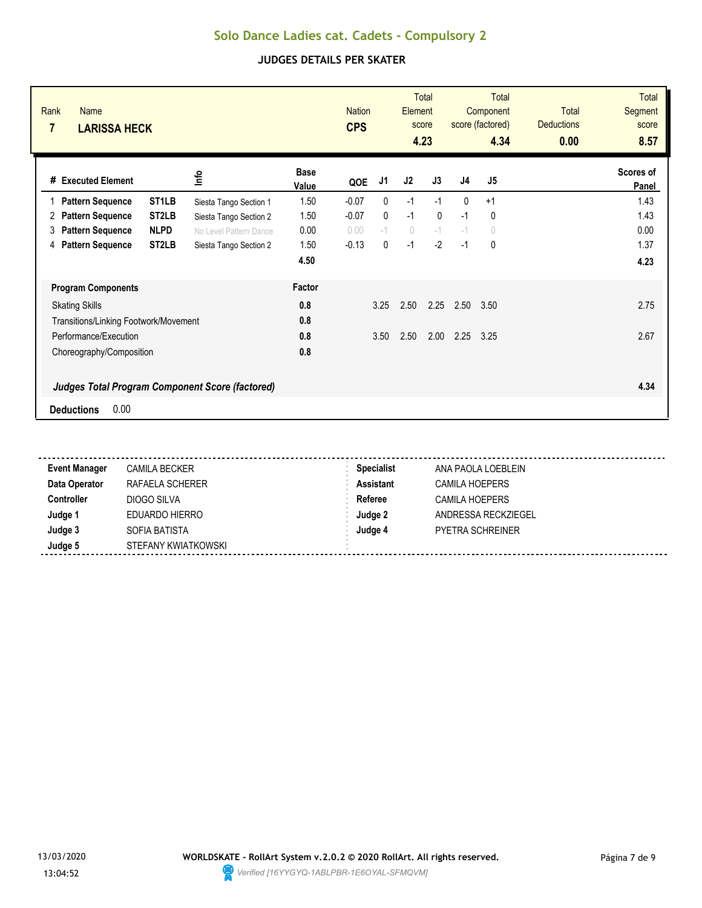| Rank<br>Name<br>7<br><b>LARISSA HECK</b>               |                        |                      | <b>Nation</b><br><b>CPS</b> |              | Element                          | <b>Total</b><br>score<br>4.23 |                | <b>Total</b><br>Component<br>score (factored)<br>4.34 | <b>Total</b><br><b>Deductions</b><br>0.00 | <b>Total</b><br>Segment<br>score<br>8.57 |
|--------------------------------------------------------|------------------------|----------------------|-----------------------------|--------------|----------------------------------|-------------------------------|----------------|-------------------------------------------------------|-------------------------------------------|------------------------------------------|
| # Executed Element                                     | ١nf٥                   | <b>Base</b><br>Value | QOE                         | J1           | J2                               | J3                            | J <sub>4</sub> | J <sub>5</sub>                                        |                                           | Scores of<br>Panel                       |
| ST <sub>1</sub> LB<br><b>Pattern Sequence</b>          | Siesta Tango Section 1 | 1.50                 | $-0.07$                     | $\mathbf{0}$ | $-1$                             | $-1$                          | $\mathbf{0}$   | $+1$                                                  |                                           | 1.43                                     |
| ST <sub>2</sub> LB<br><b>Pattern Sequence</b><br>2     | Siesta Tango Section 2 | 1.50                 | $-0.07$                     | $\mathbf{0}$ | $-1$                             | $\mathbf{0}$                  | $-1$           | $\mathbf{0}$                                          |                                           | 1.43                                     |
| <b>NLPD</b><br><b>Pattern Sequence</b><br>3            | No Level Pattern Dance | 0.00                 | 0.00                        | $-1$         | $\begin{array}{c} \n\end{array}$ | $-1$                          | $-1$           | $\circ$                                               |                                           | 0.00                                     |
| ST <sub>2</sub> LB<br><b>Pattern Sequence</b><br>4     | Siesta Tango Section 2 | 1.50                 | $-0.13$                     | $\mathbf{0}$ | $-1$                             | $-2$                          | $-1$           | 0                                                     |                                           | 1.37                                     |
|                                                        |                        | 4.50                 |                             |              |                                  |                               |                |                                                       |                                           | 4.23                                     |
| <b>Program Components</b>                              |                        | Factor               |                             |              |                                  |                               |                |                                                       |                                           |                                          |
| <b>Skating Skills</b>                                  |                        | 0.8                  |                             | 3.25         | 2.50                             | 2.25                          | 2.50           | 3.50                                                  |                                           | 2.75                                     |
| Transitions/Linking Footwork/Movement                  |                        | 0.8                  |                             |              |                                  |                               |                |                                                       |                                           |                                          |
| Performance/Execution                                  |                        | 0.8                  |                             | 3.50         | 2.50                             | 2.00                          | 2.25           | 3.25                                                  |                                           | 2.67                                     |
| Choreography/Composition                               |                        | 0.8                  |                             |              |                                  |                               |                |                                                       |                                           |                                          |
| <b>Judges Total Program Component Score (factored)</b> |                        |                      |                             |              |                                  |                               |                |                                                       |                                           | 4.34                                     |
| 0.00<br><b>Deductions</b>                              |                        |                      |                             |              |                                  |                               |                |                                                       |                                           |                                          |

| <b>Event Manager</b> | <b>CAMILA BECKER</b> | <b>Specialist</b> | ANA PAOLA LOEBLEIN      |
|----------------------|----------------------|-------------------|-------------------------|
| Data Operator        | RAFAELA SCHERER      | Assistant         | <b>CAMILA HOEPERS</b>   |
| <b>Controller</b>    | DIOGO SILVA          | Referee           | <b>CAMILA HOEPERS</b>   |
| Judge 1              | EDUARDO HIERRO       | Judge 2           | ANDRESSA RECKZIEGEL     |
| Judge 3              | SOFIA BATISTA        | Judge 4           | <b>PYETRA SCHREINER</b> |
| Judge 5              | STEFANY KWIATKOWSKI  |                   |                         |

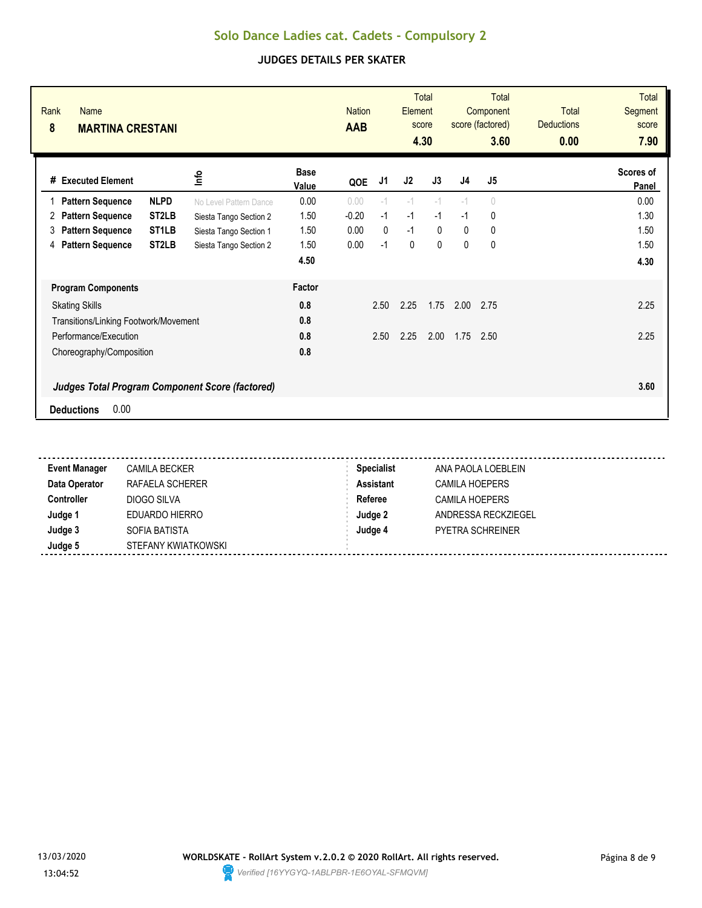| Rank<br>Name<br>8<br><b>MARTINA CRESTANI</b> |                                                        |                        |                      | <b>Nation</b><br><b>AAB</b> |              | Element     | <b>Total</b><br>score<br>4.30 |                | Total<br>Component<br>score (factored)<br>3.60 | <b>Total</b><br><b>Deductions</b><br>0.00 | <b>Total</b><br>Segment<br>score<br>7.90 |
|----------------------------------------------|--------------------------------------------------------|------------------------|----------------------|-----------------------------|--------------|-------------|-------------------------------|----------------|------------------------------------------------|-------------------------------------------|------------------------------------------|
| # Executed Element                           |                                                        | ٩ų                     | <b>Base</b><br>Value | QOE                         | J1           | J2          | J3                            | J <sub>4</sub> | J5                                             |                                           | Scores of<br>Panel                       |
| <b>Pattern Sequence</b>                      | <b>NLPD</b>                                            | No Level Pattern Dance | 0.00                 | 0.00                        | $-1$         | $-1$        | $-1$                          | $-1$           | 0                                              |                                           | 0.00                                     |
| <b>Pattern Sequence</b><br>2                 | ST <sub>2</sub> LB                                     | Siesta Tango Section 2 | 1.50                 | $-0.20$                     | $-1$         | $-1$        | $-1$                          | $-1$           | 0                                              |                                           | 1.30                                     |
| <b>Pattern Sequence</b><br>3                 | ST <sub>1</sub> LB                                     | Siesta Tango Section 1 | 1.50                 | 0.00                        | $\mathbf{0}$ | $-1$        | $\mathbf{0}$                  | $\mathbf{0}$   | 0                                              |                                           | 1.50                                     |
| <b>Pattern Sequence</b><br>4                 | ST <sub>2</sub> LB                                     | Siesta Tango Section 2 | 1.50                 | 0.00                        | $-1$         | $\mathbf 0$ | $\mathbf{0}$                  | $\mathbf{0}$   | 0                                              |                                           | 1.50                                     |
|                                              |                                                        |                        | 4.50                 |                             |              |             |                               |                |                                                |                                           | 4.30                                     |
| <b>Program Components</b>                    |                                                        |                        | Factor               |                             |              |             |                               |                |                                                |                                           |                                          |
| <b>Skating Skills</b>                        |                                                        |                        |                      |                             | 2.50         | 2.25        | 1.75                          | 2.00           | 2.75                                           |                                           | 2.25                                     |
|                                              | Transitions/Linking Footwork/Movement                  |                        |                      |                             |              |             |                               |                |                                                |                                           |                                          |
| Performance/Execution                        |                                                        |                        |                      |                             | 2.50         | 2.25        | 2.00                          | 1.75           | 2.50                                           |                                           | 2.25                                     |
| Choreography/Composition                     |                                                        |                        | 0.8                  |                             |              |             |                               |                |                                                |                                           |                                          |
|                                              | <b>Judges Total Program Component Score (factored)</b> |                        |                      |                             |              |             |                               |                |                                                |                                           | 3.60                                     |
| 0.00<br><b>Deductions</b>                    |                                                        |                        |                      |                             |              |             |                               |                |                                                |                                           |                                          |

| <b>Event Manager</b> | <b>CAMILA BECKER</b> | <b>Specialist</b> | ANA PAOLA LOEBLEIN      |
|----------------------|----------------------|-------------------|-------------------------|
| Data Operator        | RAFAELA SCHERER      | Assistant         | <b>CAMILA HOEPERS</b>   |
| <b>Controller</b>    | DIOGO SILVA          | Referee           | <b>CAMILA HOEPERS</b>   |
| Judge 1              | EDUARDO HIERRO       | Judge 2           | ANDRESSA RECKZIEGEL     |
| Judge 3              | SOFIA BATISTA        | Judge 4           | <b>PYETRA SCHREINER</b> |
| Judge 5              | STEFANY KWIATKOWSKI  |                   |                         |